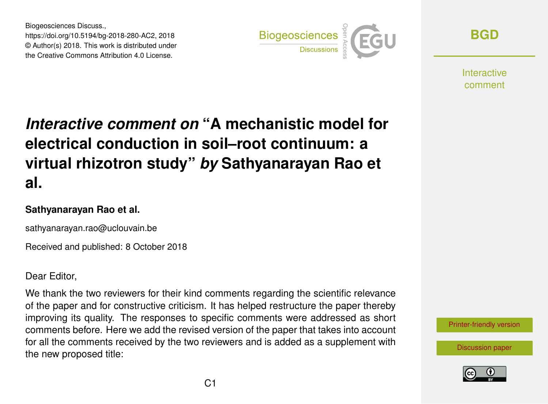Biogeosciences Discuss., https://doi.org/10.5194/bg-2018-280-AC2, 2018 © Author(s) 2018. This work is distributed under the Creative Commons Attribution 4.0 License.



**[BGD](https://www.biogeosciences-discuss.net/)**

Interactive comment

## *Interactive comment on* **"A mechanistic model for electrical conduction in soil–root continuum: a virtual rhizotron study"** *by* **Sathyanarayan Rao et al.**

## **Sathyanarayan Rao et al.**

sathyanarayan.rao@uclouvain.be

Received and published: 8 October 2018

Dear Editor,

We thank the two reviewers for their kind comments regarding the scientific relevance of the paper and for constructive criticism. It has helped restructure the paper thereby improving its quality. The responses to specific comments were addressed as short comments before. Here we add the revised version of the paper that takes into account for all the comments received by the two reviewers and is added as a supplement with the new proposed title:

[Printer-friendly version](https://www.biogeosciences-discuss.net/bg-2018-280/bg-2018-280-AC2-print.pdf)

[Discussion paper](https://www.biogeosciences-discuss.net/bg-2018-280)